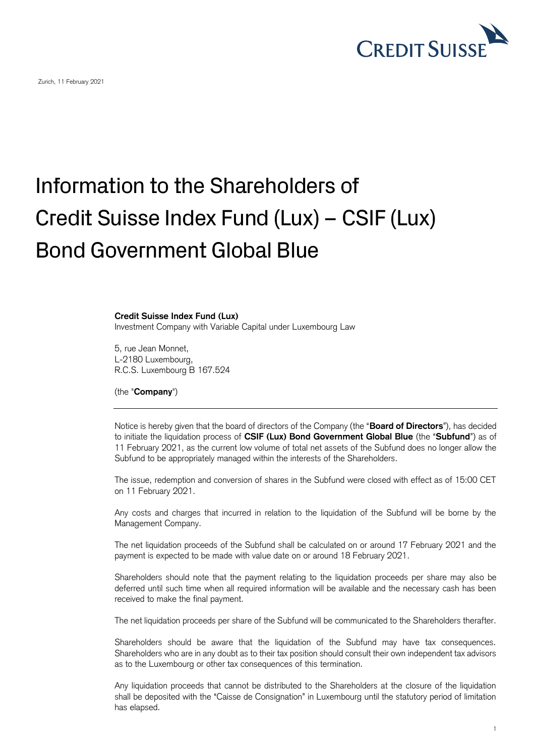

## Information to the Shareholders of Credit Suisse Index Fund (Lux) – CSIF (Lux) Bond Government Global Blue

## **Credit Suisse Index Fund (Lux)**

Investment Company with Variable Capital under Luxembourg Law

5, rue Jean Monnet, L-2180 Luxembourg, R.C.S. Luxembourg B 167.524

(the "**Company**")

Notice is hereby given that the board of directors of the Company (the "**Board of Directors**"), has decided to initiate the liquidation process of **CSIF (Lux) Bond Government Global Blue** (the "**Subfund**") as of 11 February 2021, as the current low volume of total net assets of the Subfund does no longer allow the Subfund to be appropriately managed within the interests of the Shareholders.

The issue, redemption and conversion of shares in the Subfund were closed with effect as of 15:00 CET on 11 February 2021.

Any costs and charges that incurred in relation to the liquidation of the Subfund will be borne by the Management Company.

The net liquidation proceeds of the Subfund shall be calculated on or around 17 February 2021 and the payment is expected to be made with value date on or around 18 February 2021.

Shareholders should note that the payment relating to the liquidation proceeds per share may also be deferred until such time when all required information will be available and the necessary cash has been received to make the final payment.

The net liquidation proceeds per share of the Subfund will be communicated to the Shareholders therafter.

Shareholders should be aware that the liquidation of the Subfund may have tax consequences. Shareholders who are in any doubt as to their tax position should consult their own independent tax advisors as to the Luxembourg or other tax consequences of this termination.

Any liquidation proceeds that cannot be distributed to the Shareholders at the closure of the liquidation shall be deposited with the "Caisse de Consignation" in Luxembourg until the statutory period of limitation has elapsed.